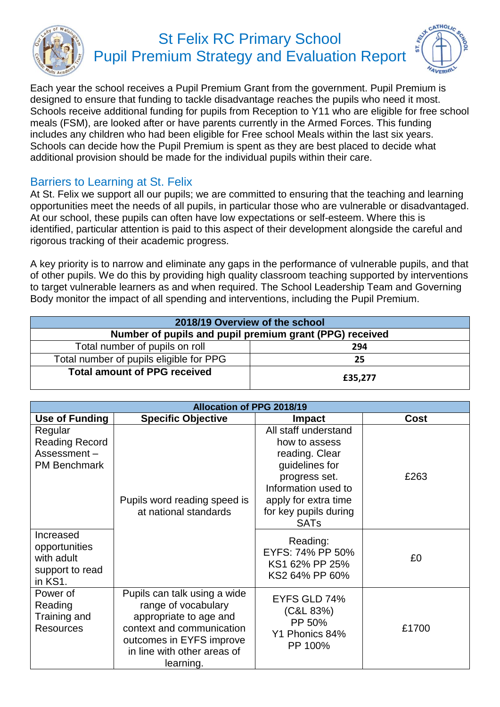

## St Felix RC Primary School Pupil Premium Strategy and Evaluation Report



Each year the school receives a Pupil Premium Grant from the government. Pupil Premium is designed to ensure that funding to tackle disadvantage reaches the pupils who need it most. Schools receive additional funding for pupils from Reception to Y11 who are eligible for free school meals (FSM), are looked after or have parents currently in the Armed Forces. This funding includes any children who had been eligible for Free school Meals within the last six years. Schools can decide how the Pupil Premium is spent as they are best placed to decide what additional provision should be made for the individual pupils within their care.

## Barriers to Learning at St. Felix

At St. Felix we support all our pupils; we are committed to ensuring that the teaching and learning opportunities meet the needs of all pupils, in particular those who are vulnerable or disadvantaged. At our school, these pupils can often have low expectations or self-esteem. Where this is identified, particular attention is paid to this aspect of their development alongside the careful and rigorous tracking of their academic progress.

A key priority is to narrow and eliminate any gaps in the performance of vulnerable pupils, and that of other pupils. We do this by providing high quality classroom teaching supported by interventions to target vulnerable learners as and when required. The School Leadership Team and Governing Body monitor the impact of all spending and interventions, including the Pupil Premium.

| 2018/19 Overview of the school                          |         |  |
|---------------------------------------------------------|---------|--|
| Number of pupils and pupil premium grant (PPG) received |         |  |
| Total number of pupils on roll<br>294                   |         |  |
| Total number of pupils eligible for PPG<br>25           |         |  |
| <b>Total amount of PPG received</b>                     | £35,277 |  |

| <b>Allocation of PPG 2018/19</b>                                       |                                                                                                                                                                                    |                                                                                                                                                                                   |       |
|------------------------------------------------------------------------|------------------------------------------------------------------------------------------------------------------------------------------------------------------------------------|-----------------------------------------------------------------------------------------------------------------------------------------------------------------------------------|-------|
| Use of Funding                                                         | <b>Specific Objective</b>                                                                                                                                                          | <b>Impact</b>                                                                                                                                                                     | Cost  |
| Regular<br><b>Reading Record</b><br>Assessment-<br><b>PM Benchmark</b> | Pupils word reading speed is<br>at national standards                                                                                                                              | All staff understand<br>how to assess<br>reading. Clear<br>guidelines for<br>progress set.<br>Information used to<br>apply for extra time<br>for key pupils during<br><b>SATs</b> | £263  |
| Increased<br>opportunities<br>with adult<br>support to read<br>in KS1. |                                                                                                                                                                                    | Reading:<br>EYFS: 74% PP 50%<br>KS1 62% PP 25%<br>KS2 64% PP 60%                                                                                                                  | £0    |
| Power of<br>Reading<br>Training and<br><b>Resources</b>                | Pupils can talk using a wide<br>range of vocabulary<br>appropriate to age and<br>context and communication<br>outcomes in EYFS improve<br>in line with other areas of<br>learning. | EYFS GLD 74%<br>(C&L 83%)<br>PP 50%<br>Y1 Phonics 84%<br>PP 100%                                                                                                                  | £1700 |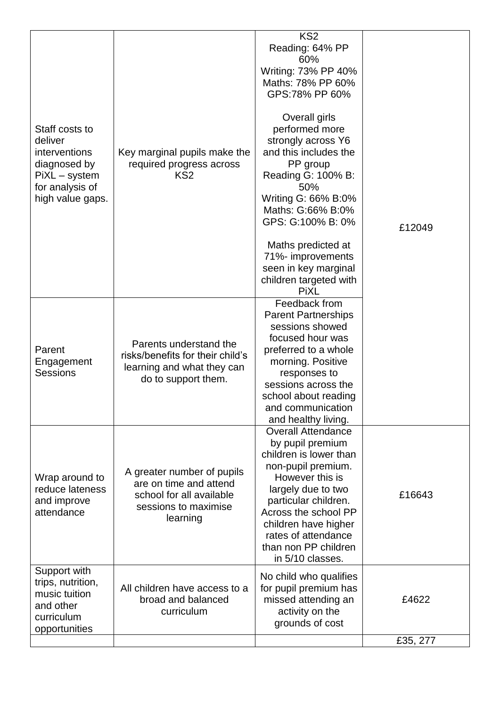| Staff costs to<br>deliver<br><i>interventions</i><br>diagnosed by<br>PiXL - system<br>for analysis of<br>high value gaps. | Key marginal pupils make the<br>required progress across<br>KS <sub>2</sub>                                          | KS <sub>2</sub><br>Reading: 64% PP<br>60%<br>Writing: 73% PP 40%<br>Maths: 78% PP 60%<br>GPS:78% PP 60%<br>Overall girls<br>performed more<br>strongly across Y6<br>and this includes the<br>PP group<br>Reading G: 100% B:<br>50%<br>Writing G: 66% B:0%<br>Maths: G:66% B:0%<br>GPS: G:100% B: 0%<br>Maths predicted at<br>71%- improvements<br>seen in key marginal<br>children targeted with<br><b>PiXL</b> | £12049   |
|---------------------------------------------------------------------------------------------------------------------------|----------------------------------------------------------------------------------------------------------------------|-----------------------------------------------------------------------------------------------------------------------------------------------------------------------------------------------------------------------------------------------------------------------------------------------------------------------------------------------------------------------------------------------------------------|----------|
| Parent<br>Engagement<br><b>Sessions</b>                                                                                   | Parents understand the<br>risks/benefits for their child's<br>learning and what they can<br>do to support them.      | Feedback from<br><b>Parent Partnerships</b><br>sessions showed<br>focused hour was<br>preferred to a whole<br>morning. Positive<br>responses to<br>sessions across the<br>school about reading<br>and communication<br>and healthy living.                                                                                                                                                                      |          |
| Wrap around to<br>reduce lateness<br>and improve<br>attendance                                                            | A greater number of pupils<br>are on time and attend<br>school for all available<br>sessions to maximise<br>learning | <b>Overall Attendance</b><br>by pupil premium<br>children is lower than<br>non-pupil premium.<br>However this is<br>largely due to two<br>particular children.<br>Across the school PP<br>children have higher<br>rates of attendance<br>than non PP children<br>in 5/10 classes.                                                                                                                               | £16643   |
| Support with<br>trips, nutrition,<br>music tuition<br>and other<br>curriculum<br>opportunities                            | All children have access to a<br>broad and balanced<br>curriculum                                                    | No child who qualifies<br>for pupil premium has<br>missed attending an<br>activity on the<br>grounds of cost                                                                                                                                                                                                                                                                                                    | £4622    |
|                                                                                                                           |                                                                                                                      |                                                                                                                                                                                                                                                                                                                                                                                                                 | £35, 277 |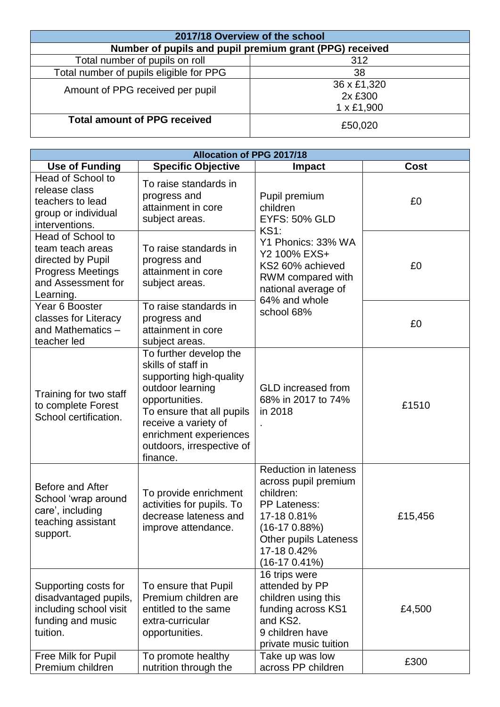| 2017/18 Overview of the school                          |                                             |  |
|---------------------------------------------------------|---------------------------------------------|--|
| Number of pupils and pupil premium grant (PPG) received |                                             |  |
| Total number of pupils on roll<br>312                   |                                             |  |
| Total number of pupils eligible for PPG                 | 38                                          |  |
| Amount of PPG received per pupil                        | 36 x £1,320<br>2x £300<br>$1 \times £1,900$ |  |
| <b>Total amount of PPG received</b>                     | £50,020                                     |  |

| <b>Allocation of PPG 2017/18</b>                                                                                          |                                                                                                                                                                                                                                       |                                                                                                                                                                                     |             |
|---------------------------------------------------------------------------------------------------------------------------|---------------------------------------------------------------------------------------------------------------------------------------------------------------------------------------------------------------------------------------|-------------------------------------------------------------------------------------------------------------------------------------------------------------------------------------|-------------|
| <b>Use of Funding</b>                                                                                                     | <b>Specific Objective</b>                                                                                                                                                                                                             | <b>Impact</b>                                                                                                                                                                       | <b>Cost</b> |
| Head of School to<br>release class<br>teachers to lead<br>group or individual<br>interventions.                           | To raise standards in<br>progress and<br>attainment in core<br>subject areas.                                                                                                                                                         | Pupil premium<br>children<br><b>EYFS: 50% GLD</b><br><b>KS1:</b>                                                                                                                    | £0          |
| Head of School to<br>team teach areas<br>directed by Pupil<br><b>Progress Meetings</b><br>and Assessment for<br>Learning. | To raise standards in<br>progress and<br>attainment in core<br>subject areas.                                                                                                                                                         | Y1 Phonics: 33% WA<br>Y2 100% EXS+<br>KS2 60% achieved<br>RWM compared with<br>national average of<br>64% and whole                                                                 | £0          |
| Year 6 Booster<br>classes for Literacy<br>and Mathematics -<br>teacher led                                                | To raise standards in<br>progress and<br>attainment in core<br>subject areas.                                                                                                                                                         | school 68%                                                                                                                                                                          | £0          |
| Training for two staff<br>to complete Forest<br>School certification.                                                     | To further develop the<br>skills of staff in<br>supporting high-quality<br>outdoor learning<br>opportunities.<br>To ensure that all pupils<br>receive a variety of<br>enrichment experiences<br>outdoors, irrespective of<br>finance. | <b>GLD</b> increased from<br>68% in 2017 to 74%<br>in 2018                                                                                                                          | £1510       |
| Before and After<br>School 'wrap around<br>care', including<br>teaching assistant<br>support.                             | To provide enrichment<br>activities for pupils. To<br>decrease lateness and<br>improve attendance.                                                                                                                                    | <b>Reduction in lateness</b><br>across pupil premium<br>children:<br>PP Lateness:<br>17-18 0.81%<br>$(16-170.88%)$<br><b>Other pupils Lateness</b><br>17-18 0.42%<br>$(16-170.41%)$ | £15,456     |
| Supporting costs for<br>disadvantaged pupils,<br>including school visit<br>funding and music<br>tuition.                  | To ensure that Pupil<br>Premium children are<br>entitled to the same<br>extra-curricular<br>opportunities.                                                                                                                            | 16 trips were<br>attended by PP<br>children using this<br>funding across KS1<br>and KS2.<br>9 children have<br>private music tuition                                                | £4,500      |
| Free Milk for Pupil<br>Premium children                                                                                   | To promote healthy<br>nutrition through the                                                                                                                                                                                           | Take up was low<br>across PP children                                                                                                                                               | £300        |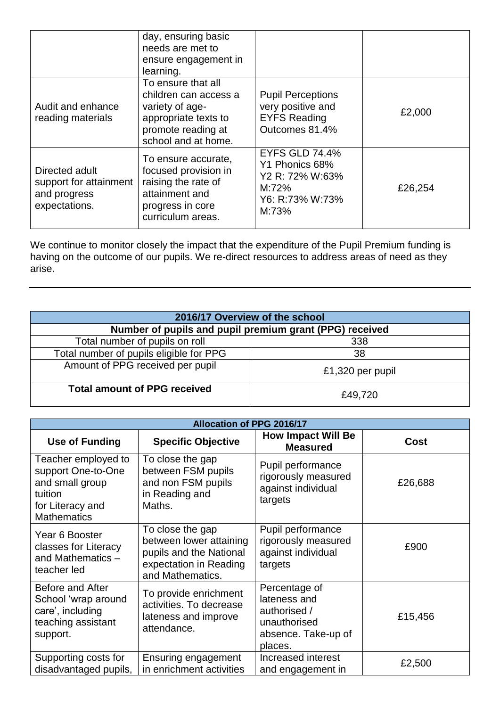|                                                                           | day, ensuring basic<br>needs are met to<br>ensure engagement in<br>learning.                                                        |                                                                                                 |         |
|---------------------------------------------------------------------------|-------------------------------------------------------------------------------------------------------------------------------------|-------------------------------------------------------------------------------------------------|---------|
| Audit and enhance<br>reading materials                                    | To ensure that all<br>children can access a<br>variety of age-<br>appropriate texts to<br>promote reading at<br>school and at home. | <b>Pupil Perceptions</b><br>very positive and<br><b>EYFS Reading</b><br>Outcomes 81.4%          | £2,000  |
| Directed adult<br>support for attainment<br>and progress<br>expectations. | To ensure accurate,<br>focused provision in<br>raising the rate of<br>attainment and<br>progress in core<br>curriculum areas.       | <b>EYFS GLD 74.4%</b><br>Y1 Phonics 68%<br>Y2 R: 72% W:63%<br>M:72%<br>Y6: R:73% W:73%<br>M:73% | £26,254 |

We continue to monitor closely the impact that the expenditure of the Pupil Premium funding is having on the outcome of our pupils. We re-direct resources to address areas of need as they arise.

| 2016/17 Overview of the school                          |                  |  |
|---------------------------------------------------------|------------------|--|
| Number of pupils and pupil premium grant (PPG) received |                  |  |
| Total number of pupils on roll                          | 338              |  |
| Total number of pupils eligible for PPG                 | 38               |  |
| Amount of PPG received per pupil                        | £1,320 per pupil |  |
| <b>Total amount of PPG received</b>                     | £49,720          |  |

| <b>Allocation of PPG 2016/17</b>                                                                                  |                                                                                                                      |                                                                                                 |             |
|-------------------------------------------------------------------------------------------------------------------|----------------------------------------------------------------------------------------------------------------------|-------------------------------------------------------------------------------------------------|-------------|
| <b>Use of Funding</b>                                                                                             | <b>Specific Objective</b>                                                                                            | <b>How Impact Will Be</b><br><b>Measured</b>                                                    | <b>Cost</b> |
| Teacher employed to<br>support One-to-One<br>and small group<br>tuition<br>for Literacy and<br><b>Mathematics</b> | To close the gap<br>between FSM pupils<br>and non FSM pupils<br>in Reading and<br>Maths.                             | Pupil performance<br>rigorously measured<br>against individual<br>targets                       | £26,688     |
| Year 6 Booster<br>classes for Literacy<br>and Mathematics -<br>teacher led                                        | To close the gap<br>between lower attaining<br>pupils and the National<br>expectation in Reading<br>and Mathematics. | Pupil performance<br>rigorously measured<br>against individual<br>targets                       | £900        |
| Before and After<br>School 'wrap around<br>care', including<br>teaching assistant<br>support.                     | To provide enrichment<br>activities. To decrease<br>lateness and improve<br>attendance.                              | Percentage of<br>lateness and<br>authorised /<br>unauthorised<br>absence. Take-up of<br>places. | £15,456     |
| Supporting costs for<br>disadvantaged pupils,                                                                     | Ensuring engagement<br>in enrichment activities                                                                      | Increased interest<br>and engagement in                                                         | £2,500      |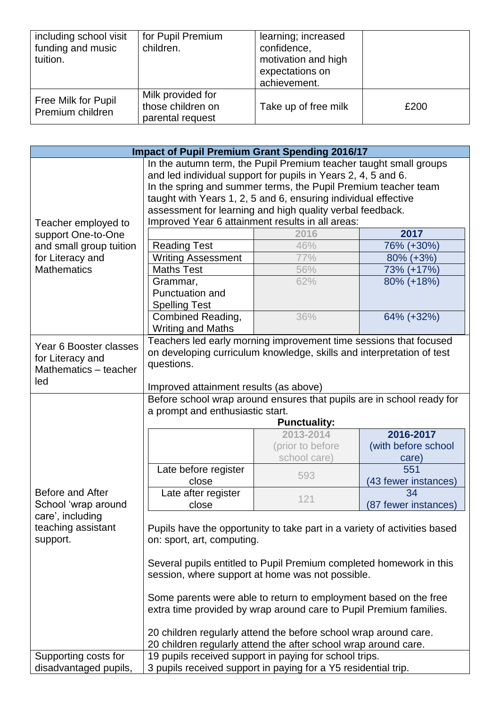| including school visit<br>funding and music<br>tuition. | for Pupil Premium<br>children.                             | learning; increased<br>confidence,<br>motivation and high<br>expectations on<br>achievement. |      |
|---------------------------------------------------------|------------------------------------------------------------|----------------------------------------------------------------------------------------------|------|
| Free Milk for Pupil<br>Premium children                 | Milk provided for<br>those children on<br>parental request | Take up of free milk                                                                         | £200 |

| <b>Impact of Pupil Premium Grant Spending 2016/17</b> |                                                                                                                                     |                   |                      |
|-------------------------------------------------------|-------------------------------------------------------------------------------------------------------------------------------------|-------------------|----------------------|
|                                                       | In the autumn term, the Pupil Premium teacher taught small groups                                                                   |                   |                      |
|                                                       | and led individual support for pupils in Years 2, 4, 5 and 6.                                                                       |                   |                      |
|                                                       | In the spring and summer terms, the Pupil Premium teacher team                                                                      |                   |                      |
|                                                       | taught with Years 1, 2, 5 and 6, ensuring individual effective                                                                      |                   |                      |
|                                                       | assessment for learning and high quality verbal feedback.                                                                           |                   |                      |
| Teacher employed to                                   | Improved Year 6 attainment results in all areas:                                                                                    |                   |                      |
| support One-to-One                                    |                                                                                                                                     | 2016              | 2017                 |
| and small group tuition                               | <b>Reading Test</b>                                                                                                                 | 46%               | 76% (+30%)           |
| for Literacy and                                      | <b>Writing Assessment</b>                                                                                                           | 77%               | $80\%$ (+3%)         |
| <b>Mathematics</b>                                    | <b>Maths Test</b>                                                                                                                   | 56%               | 73% (+17%)           |
|                                                       | Grammar,                                                                                                                            | 62%               | 80% (+18%)           |
|                                                       | Punctuation and                                                                                                                     |                   |                      |
|                                                       | <b>Spelling Test</b>                                                                                                                |                   |                      |
|                                                       | Combined Reading,                                                                                                                   | 36%               | 64% (+32%)           |
|                                                       | <b>Writing and Maths</b>                                                                                                            |                   |                      |
|                                                       | Teachers led early morning improvement time sessions that focused                                                                   |                   |                      |
| Year 6 Booster classes                                | on developing curriculum knowledge, skills and interpretation of test                                                               |                   |                      |
| for Literacy and                                      | questions.                                                                                                                          |                   |                      |
| Mathematics - teacher                                 |                                                                                                                                     |                   |                      |
| led                                                   | Improved attainment results (as above)                                                                                              |                   |                      |
|                                                       | Before school wrap around ensures that pupils are in school ready for                                                               |                   |                      |
|                                                       | a prompt and enthusiastic start.                                                                                                    |                   |                      |
| <b>Punctuality:</b>                                   |                                                                                                                                     |                   |                      |
|                                                       |                                                                                                                                     | 2013-2014         | 2016-2017            |
|                                                       |                                                                                                                                     | (prior to before) | (with before school  |
|                                                       |                                                                                                                                     | school care)      | care)                |
|                                                       | Late before register                                                                                                                | 593               | 551                  |
|                                                       | close                                                                                                                               |                   | (43 fewer instances) |
| Before and After                                      | Late after register                                                                                                                 | 121               | 34                   |
| School 'wrap around                                   | close                                                                                                                               |                   | (87 fewer instances) |
| care', including                                      |                                                                                                                                     |                   |                      |
| teaching assistant                                    | Pupils have the opportunity to take part in a variety of activities based                                                           |                   |                      |
| support.                                              | on: sport, art, computing.                                                                                                          |                   |                      |
|                                                       |                                                                                                                                     |                   |                      |
|                                                       | Several pupils entitled to Pupil Premium completed homework in this                                                                 |                   |                      |
|                                                       | session, where support at home was not possible.                                                                                    |                   |                      |
|                                                       |                                                                                                                                     |                   |                      |
|                                                       | Some parents were able to return to employment based on the free                                                                    |                   |                      |
|                                                       | extra time provided by wrap around care to Pupil Premium families.                                                                  |                   |                      |
|                                                       |                                                                                                                                     |                   |                      |
|                                                       | 20 children regularly attend the before school wrap around care.<br>20 children regularly attend the after school wrap around care. |                   |                      |
|                                                       |                                                                                                                                     |                   |                      |
| Supporting costs for                                  | 19 pupils received support in paying for school trips.                                                                              |                   |                      |
| disadvantaged pupils,                                 | 3 pupils received support in paying for a Y5 residential trip.                                                                      |                   |                      |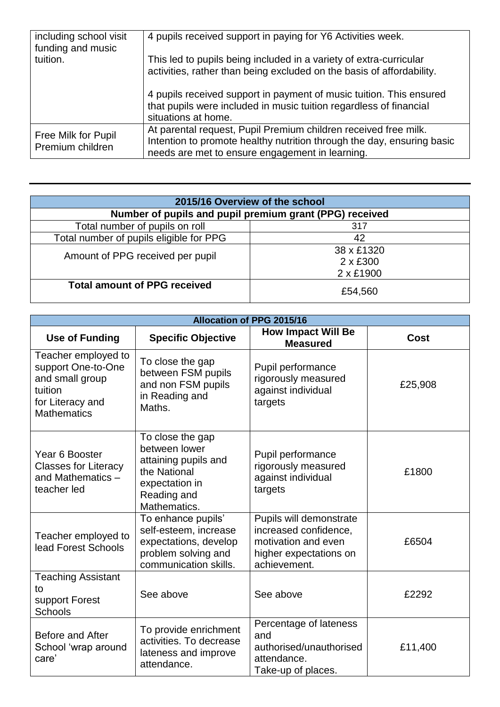| including school visit<br>funding and music | 4 pupils received support in paying for Y6 Activities week.                                                                                                                                  |
|---------------------------------------------|----------------------------------------------------------------------------------------------------------------------------------------------------------------------------------------------|
| tuition.                                    | This led to pupils being included in a variety of extra-curricular<br>activities, rather than being excluded on the basis of affordability.                                                  |
|                                             | 4 pupils received support in payment of music tuition. This ensured<br>that pupils were included in music tuition regardless of financial<br>situations at home.                             |
| Free Milk for Pupil<br>Premium children     | At parental request, Pupil Premium children received free milk.<br>Intention to promote healthy nutrition through the day, ensuring basic<br>needs are met to ensure engagement in learning. |

| 2015/16 Overview of the school                          |                               |  |
|---------------------------------------------------------|-------------------------------|--|
| Number of pupils and pupil premium grant (PPG) received |                               |  |
| Total number of pupils on roll<br>317                   |                               |  |
| Total number of pupils eligible for PPG                 | 42                            |  |
| Amount of PPG received per pupil                        | 38 x £1320<br>$2 \times £300$ |  |
|                                                         | 2 x £1900                     |  |
| <b>Total amount of PPG received</b>                     | £54,560                       |  |

| <b>Allocation of PPG 2015/16</b>                                                                                  |                                                                                                                            |                                                                                                                   |         |
|-------------------------------------------------------------------------------------------------------------------|----------------------------------------------------------------------------------------------------------------------------|-------------------------------------------------------------------------------------------------------------------|---------|
| <b>Use of Funding</b>                                                                                             | <b>Specific Objective</b>                                                                                                  | <b>How Impact Will Be</b><br><b>Measured</b>                                                                      | Cost    |
| Teacher employed to<br>support One-to-One<br>and small group<br>tuition<br>for Literacy and<br><b>Mathematics</b> | To close the gap<br>between FSM pupils<br>and non FSM pupils<br>in Reading and<br>Maths.                                   | Pupil performance<br>rigorously measured<br>against individual<br>targets                                         | £25,908 |
| Year 6 Booster<br><b>Classes for Literacy</b><br>and Mathematics -<br>teacher led                                 | To close the gap<br>between lower<br>attaining pupils and<br>the National<br>expectation in<br>Reading and<br>Mathematics. | Pupil performance<br>rigorously measured<br>against individual<br>targets                                         | £1800   |
| Teacher employed to<br>lead Forest Schools                                                                        | To enhance pupils'<br>self-esteem, increase<br>expectations, develop<br>problem solving and<br>communication skills.       | Pupils will demonstrate<br>increased confidence,<br>motivation and even<br>higher expectations on<br>achievement. | £6504   |
| <b>Teaching Assistant</b><br>to<br>support Forest<br><b>Schools</b>                                               | See above                                                                                                                  | See above                                                                                                         | £2292   |
| Before and After<br>School 'wrap around<br>care'                                                                  | To provide enrichment<br>activities. To decrease<br>lateness and improve<br>attendance.                                    | Percentage of lateness<br>and<br>authorised/unauthorised<br>attendance.<br>Take-up of places.                     | £11,400 |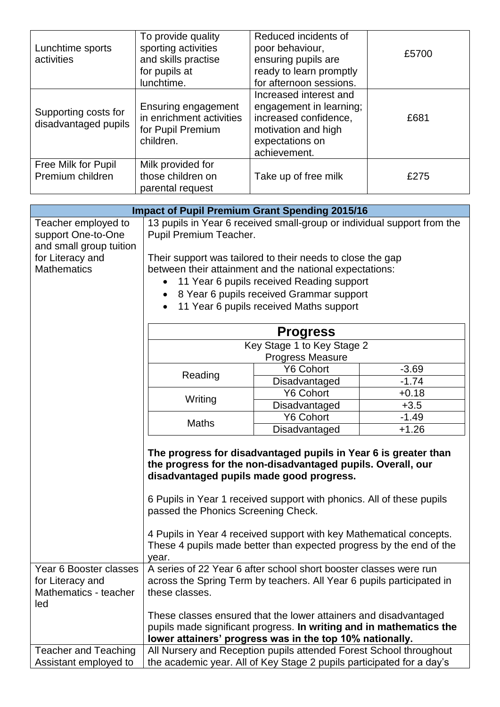| Lunchtime sports<br>activities               | To provide quality<br>sporting activities<br>and skills practise<br>for pupils at<br>lunchtime. | Reduced incidents of<br>poor behaviour,<br>ensuring pupils are<br>ready to learn promptly<br>for afternoon sessions.                 | £5700 |
|----------------------------------------------|-------------------------------------------------------------------------------------------------|--------------------------------------------------------------------------------------------------------------------------------------|-------|
| Supporting costs for<br>disadvantaged pupils | Ensuring engagement<br>in enrichment activities<br>for Pupil Premium<br>children.               | Increased interest and<br>engagement in learning;<br>increased confidence,<br>motivation and high<br>expectations on<br>achievement. | £681  |
| Free Milk for Pupil<br>Premium children      | Milk provided for<br>those children on<br>parental request                                      | Take up of free milk                                                                                                                 | £275  |

| <b>Impact of Pupil Premium Grant Spending 2015/16</b>                      |                                                                                                                                                                                                     |                                           |         |
|----------------------------------------------------------------------------|-----------------------------------------------------------------------------------------------------------------------------------------------------------------------------------------------------|-------------------------------------------|---------|
| Teacher employed to<br>support One-to-One<br>and small group tuition       | 13 pupils in Year 6 received small-group or individual support from the<br>Pupil Premium Teacher.                                                                                                   |                                           |         |
| for Literacy and                                                           | Their support was tailored to their needs to close the gap                                                                                                                                          |                                           |         |
| <b>Mathematics</b>                                                         | between their attainment and the national expectations:                                                                                                                                             |                                           |         |
|                                                                            |                                                                                                                                                                                                     | 11 Year 6 pupils received Reading support |         |
|                                                                            |                                                                                                                                                                                                     | 8 Year 6 pupils received Grammar support  |         |
|                                                                            | 11 Year 6 pupils received Maths support<br>$\bullet$                                                                                                                                                |                                           |         |
|                                                                            | <b>Progress</b>                                                                                                                                                                                     |                                           |         |
|                                                                            |                                                                                                                                                                                                     | Key Stage 1 to Key Stage 2                |         |
|                                                                            | <b>Progress Measure</b>                                                                                                                                                                             |                                           |         |
|                                                                            | Reading                                                                                                                                                                                             | <b>Y6 Cohort</b>                          | $-3.69$ |
|                                                                            |                                                                                                                                                                                                     | Disadvantaged                             | $-1.74$ |
|                                                                            | Writing                                                                                                                                                                                             | <b>Y6 Cohort</b>                          | $+0.18$ |
|                                                                            |                                                                                                                                                                                                     | Disadvantaged                             | $+3.5$  |
|                                                                            | <b>Maths</b>                                                                                                                                                                                        | <b>Y6 Cohort</b>                          | $-1.49$ |
|                                                                            |                                                                                                                                                                                                     | Disadvantaged                             | $+1.26$ |
|                                                                            | The progress for disadvantaged pupils in Year 6 is greater than<br>the progress for the non-disadvantaged pupils. Overall, our<br>disadvantaged pupils made good progress.                          |                                           |         |
|                                                                            | 6 Pupils in Year 1 received support with phonics. All of these pupils<br>passed the Phonics Screening Check.                                                                                        |                                           |         |
|                                                                            | 4 Pupils in Year 4 received support with key Mathematical concepts.<br>These 4 pupils made better than expected progress by the end of the<br>year.                                                 |                                           |         |
| Year 6 Booster classes<br>for Literacy and<br>Mathematics - teacher<br>led | A series of 22 Year 6 after school short booster classes were run<br>across the Spring Term by teachers. All Year 6 pupils participated in<br>these classes.                                        |                                           |         |
|                                                                            | These classes ensured that the lower attainers and disadvantaged<br>pupils made significant progress. In writing and in mathematics the<br>lower attainers' progress was in the top 10% nationally. |                                           |         |
| <b>Teacher and Teaching</b>                                                | All Nursery and Reception pupils attended Forest School throughout<br>the academic year. All of Key Stage 2 pupils participated for a day's                                                         |                                           |         |
| Assistant employed to                                                      |                                                                                                                                                                                                     |                                           |         |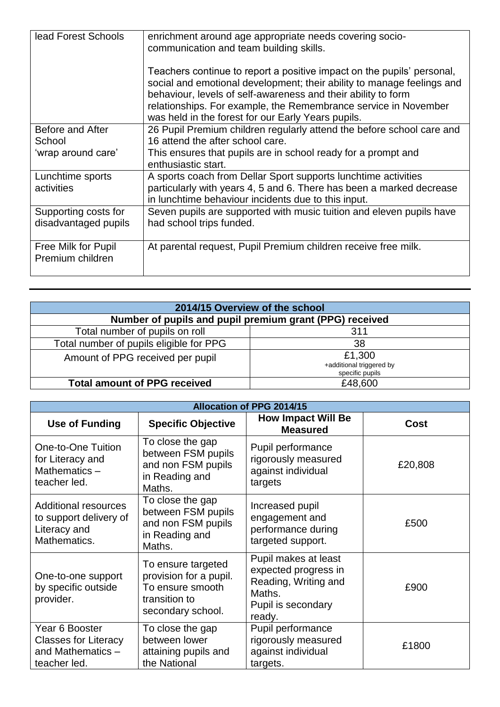| lead Forest Schools                          | enrichment around age appropriate needs covering socio-<br>communication and team building skills.                                                                                                                                                                                                                                         |
|----------------------------------------------|--------------------------------------------------------------------------------------------------------------------------------------------------------------------------------------------------------------------------------------------------------------------------------------------------------------------------------------------|
|                                              | Teachers continue to report a positive impact on the pupils' personal,<br>social and emotional development; their ability to manage feelings and<br>behaviour, levels of self-awareness and their ability to form<br>relationships. For example, the Remembrance service in November<br>was held in the forest for our Early Years pupils. |
| Before and After<br>School                   | 26 Pupil Premium children regularly attend the before school care and<br>16 attend the after school care.                                                                                                                                                                                                                                  |
| 'wrap around care'                           | This ensures that pupils are in school ready for a prompt and<br>enthusiastic start.                                                                                                                                                                                                                                                       |
| Lunchtime sports<br>activities               | A sports coach from Dellar Sport supports lunchtime activities<br>particularly with years 4, 5 and 6. There has been a marked decrease<br>in lunchtime behaviour incidents due to this input.                                                                                                                                              |
| Supporting costs for<br>disadvantaged pupils | Seven pupils are supported with music tuition and eleven pupils have<br>had school trips funded.                                                                                                                                                                                                                                           |
| Free Milk for Pupil<br>Premium children      | At parental request, Pupil Premium children receive free milk.                                                                                                                                                                                                                                                                             |

| 2014/15 Overview of the school                          |                                                       |  |
|---------------------------------------------------------|-------------------------------------------------------|--|
| Number of pupils and pupil premium grant (PPG) received |                                                       |  |
| Total number of pupils on roll                          | 311                                                   |  |
| Total number of pupils eligible for PPG                 | 38                                                    |  |
| Amount of PPG received per pupil                        | £1,300<br>+additional triggered by<br>specific pupils |  |
| <b>Total amount of PPG received</b>                     | £48,600                                               |  |

| <b>Allocation of PPG 2014/15</b>                                                      |                                                                                                        |                                                                                                                |         |
|---------------------------------------------------------------------------------------|--------------------------------------------------------------------------------------------------------|----------------------------------------------------------------------------------------------------------------|---------|
| <b>Use of Funding</b>                                                                 | <b>Specific Objective</b>                                                                              | <b>How Impact Will Be</b><br><b>Measured</b>                                                                   | Cost    |
| One-to-One Tuition<br>for Literacy and<br>Mathematics-<br>teacher led.                | To close the gap<br>between FSM pupils<br>and non FSM pupils<br>in Reading and<br>Maths.               | Pupil performance<br>rigorously measured<br>against individual<br>targets                                      | £20,808 |
| <b>Additional resources</b><br>to support delivery of<br>Literacy and<br>Mathematics. | To close the gap<br>between FSM pupils<br>and non FSM pupils<br>in Reading and<br>Maths.               | Increased pupil<br>engagement and<br>performance during<br>targeted support.                                   | £500    |
| One-to-one support<br>by specific outside<br>provider.                                | To ensure targeted<br>provision for a pupil.<br>To ensure smooth<br>transition to<br>secondary school. | Pupil makes at least<br>expected progress in<br>Reading, Writing and<br>Maths.<br>Pupil is secondary<br>ready. | £900    |
| Year 6 Booster<br><b>Classes for Literacy</b><br>and Mathematics -<br>teacher led.    | To close the gap<br>between lower<br>attaining pupils and<br>the National                              | Pupil performance<br>rigorously measured<br>against individual<br>targets.                                     | £1800   |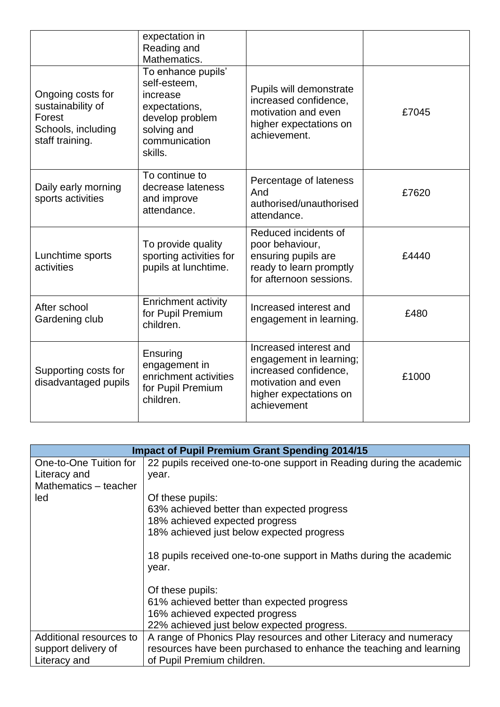|                                                                                           | expectation in<br>Reading and<br>Mathematics.                                                                                 |                                                                                                                                            |       |
|-------------------------------------------------------------------------------------------|-------------------------------------------------------------------------------------------------------------------------------|--------------------------------------------------------------------------------------------------------------------------------------------|-------|
| Ongoing costs for<br>sustainability of<br>Forest<br>Schools, including<br>staff training. | To enhance pupils'<br>self-esteem,<br>increase<br>expectations,<br>develop problem<br>solving and<br>communication<br>skills. | Pupils will demonstrate<br>increased confidence,<br>motivation and even<br>higher expectations on<br>achievement.                          | £7045 |
| Daily early morning<br>sports activities                                                  | To continue to<br>decrease lateness<br>and improve<br>attendance.                                                             | Percentage of lateness<br>And<br>authorised/unauthorised<br>attendance.                                                                    | £7620 |
| Lunchtime sports<br>activities                                                            | To provide quality<br>sporting activities for<br>pupils at lunchtime.                                                         | Reduced incidents of<br>poor behaviour,<br>ensuring pupils are<br>ready to learn promptly<br>for afternoon sessions.                       | £4440 |
| After school<br>Gardening club                                                            | <b>Enrichment activity</b><br>for Pupil Premium<br>children.                                                                  | Increased interest and<br>engagement in learning.                                                                                          | £480  |
| Supporting costs for<br>disadvantaged pupils                                              | Ensuring<br>engagement in<br>enrichment activities<br>for Pupil Premium<br>children.                                          | Increased interest and<br>engagement in learning;<br>increased confidence,<br>motivation and even<br>higher expectations on<br>achievement | £1000 |

| <b>Impact of Pupil Premium Grant Spending 2014/15</b> |                                                                               |  |
|-------------------------------------------------------|-------------------------------------------------------------------------------|--|
| One-to-One Tuition for<br>Literacy and                | 22 pupils received one-to-one support in Reading during the academic<br>year. |  |
| Mathematics - teacher                                 |                                                                               |  |
| led                                                   | Of these pupils:                                                              |  |
|                                                       | 63% achieved better than expected progress                                    |  |
|                                                       | 18% achieved expected progress                                                |  |
|                                                       | 18% achieved just below expected progress                                     |  |
|                                                       | 18 pupils received one-to-one support in Maths during the academic<br>year.   |  |
|                                                       | Of these pupils:                                                              |  |
|                                                       | 61% achieved better than expected progress                                    |  |
|                                                       | 16% achieved expected progress                                                |  |
|                                                       | 22% achieved just below expected progress.                                    |  |
| Additional resources to                               | A range of Phonics Play resources and other Literacy and numeracy             |  |
| support delivery of                                   | resources have been purchased to enhance the teaching and learning            |  |
| Literacy and                                          | of Pupil Premium children.                                                    |  |